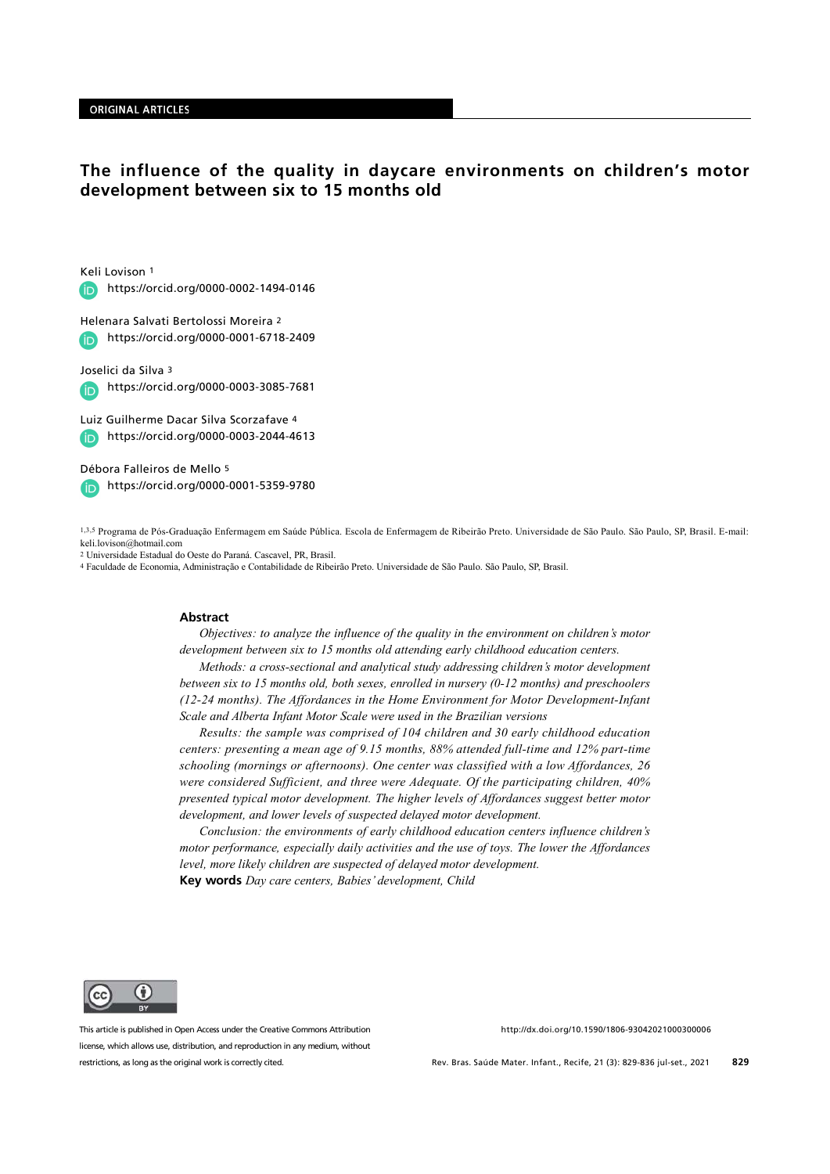#### **ORIGINAL ARTICLES**

# The influence of the quality in daycare environments on children's motor development between six to 15 months old

Keli Lovison 1

https://orcid.org/0000-0002-1494-0146 **G** 

Helenara Salvati Bertolossi Moreira 2 https://orcid.org/0000-0001-6718-2409  $\bullet$ 

Joselici da Silva 3

https://orcid.org/0000-0003-3085-7681

Luiz Guilherme Dacar Silva Scorzafave 4 https://orcid.org/0000-0003-2044-4613

Débora Falleiros de Mello 5 https://orcid.org/0000-0001-5359-9780

1,3,5 Programa de Pós-Graduação Enfermagem em Saúde Pública. Escola de Enfermagem de Ribeirão Preto. Universidade de São Paulo. São Paulo, SP, Brasil. E-mail: keli.lovison@hotmail.com

2 Universidade Estadual do Oeste do Paraná. Cascavel, PR, Brasil.

4 Faculdade de Economia, Administração e Contabilidade de Ribeirão Preto. Universidade de São Paulo. São Paulo, SP, Brasil.

#### **Abstract**

Objectives: to analyze the influence of the quality in the environment on children's motor development between six to 15 months old attending early childhood education centers.

Methods: a cross-sectional and analytical study addressing children's motor development between six to 15 months old, both sexes, enrolled in nursery (0-12 months) and preschoolers (12-24 months). The Affordances in the Home Environment for Motor Development-Infant Scale and Alberta Infant Motor Scale were used in the Brazilian versions

Results: the sample was comprised of 104 children and 30 early childhood education centers: presenting a mean age of 9.15 months, 88% attended full-time and 12% part-time schooling (mornings or afternoons). One center was classified with a low Affordances, 26 were considered Sufficient, and three were Adequate. Of the participating children, 40% presented typical motor development. The higher levels of Affordances suggest better motor development, and lower levels of suspected delayed motor development.

Conclusion: the environments of early childhood education centers influence children's motor performance, especially daily activities and the use of toys. The lower the Affordances level, more likely children are suspected of delayed motor development. Key words Day care centers, Babies' development, Child

G) **CC DV** 

This article is published in Open Access under the Creative Commons Attribution license, which allows use, distribution, and reproduction in any medium, without restrictions, as long as the original work is correctly cited.

http://dx.doi.org/10.1590/1806-93042021000300006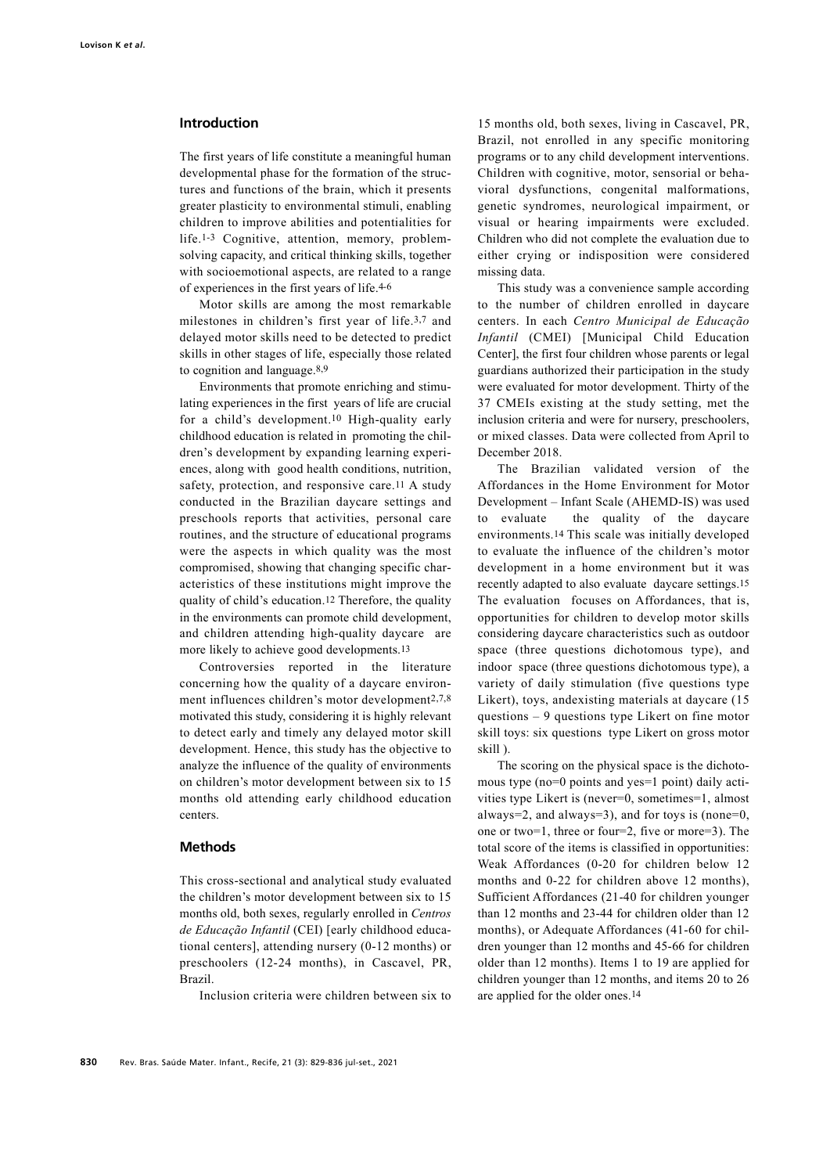# Introduction

The first years of life constitute a meaningful human developmental phase for the formation of the structures and functions of the brain, which it presents greater plasticity to environmental stimuli, enabling children to improve abilities and potentialities for life.1-3 Cognitive, attention, memory, problemsolving capacity, and critical thinking skills, together with socioemotional aspects, are related to a range of experiences in the first years of life.4-6

Motor skills are among the most remarkable milestones in children's first year of life.3,7 and delayed motor skills need to be detected to predict skills in other stages of life, especially those related to cognition and language.8,9

Environments that promote enriching and stimulating experiences in the first years of life are crucial for a child's development.10 High-quality early childhood education is related in promoting the children's development by expanding learning experiences, along with good health conditions, nutrition, safety, protection, and responsive care.11 A study conducted in the Brazilian daycare settings and preschools reports that activities, personal care routines, and the structure of educational programs were the aspects in which quality was the most compromised, showing that changing specific characteristics of these institutions might improve the quality of child's education.12 Therefore, the quality in the environments can promote child development, and children attending high-quality daycare are more likely to achieve good developments.13

Controversies reported in the literature concerning how the quality of a daycare environment influences children's motor development2,7,8 motivated this study, considering it is highly relevant to detect early and timely any delayed motor skill development. Hence, this study has the objective to analyze the influence of the quality of environments on children's motor development between six to 15 months old attending early childhood education centers.

## **Methods**

This cross-sectional and analytical study evaluated the children's motor development between six to 15 months old, both sexes, regularly enrolled in Centros de Educação Infantil (CEI) [early childhood educational centers], attending nursery (0-12 months) or preschoolers (12-24 months), in Cascavel, PR, Brazil.

Inclusion criteria were children between six to

15 months old, both sexes, living in Cascavel, PR, Brazil, not enrolled in any specific monitoring programs or to any child development interventions. Children with cognitive, motor, sensorial or behavioral dysfunctions, congenital malformations, genetic syndromes, neurological impairment, or visual or hearing impairments were excluded. Children who did not complete the evaluation due to either crying or indisposition were considered missing data.

This study was a convenience sample according to the number of children enrolled in daycare centers. In each Centro Municipal de Educação Infantil (CMEI) [Municipal Child Education Center], the first four children whose parents or legal guardians authorized their participation in the study were evaluated for motor development. Thirty of the 37 CMEIs existing at the study setting, met the inclusion criteria and were for nursery, preschoolers, or mixed classes. Data were collected from April to December 2018.

The Brazilian validated version of the Affordances in the Home Environment for Motor Development – Infant Scale (AHEMD-IS) was used to evaluate the quality of the daycare environments.14 This scale was initially developed to evaluate the influence of the children's motor development in a home environment but it was recently adapted to also evaluate daycare settings.15 The evaluation focuses on Affordances, that is, opportunities for children to develop motor skills considering daycare characteristics such as outdoor space (three questions dichotomous type), and indoor space (three questions dichotomous type), a variety of daily stimulation (five questions type Likert), toys, andexisting materials at daycare (15 questions – 9 questions type Likert on fine motor skill toys: six questions type Likert on gross motor skill ).

The scoring on the physical space is the dichotomous type (no=0 points and yes=1 point) daily activities type Likert is (never=0, sometimes=1, almost always=2, and always=3), and for toys is (none=0, one or two=1, three or four=2, five or more=3). The total score of the items is classified in opportunities: Weak Affordances (0-20 for children below 12 months and 0-22 for children above 12 months), Sufficient Affordances (21-40 for children younger than 12 months and 23-44 for children older than 12 months), or Adequate Affordances (41-60 for children younger than 12 months and 45-66 for children older than 12 months). Items 1 to 19 are applied for children younger than 12 months, and items 20 to 26 are applied for the older ones.14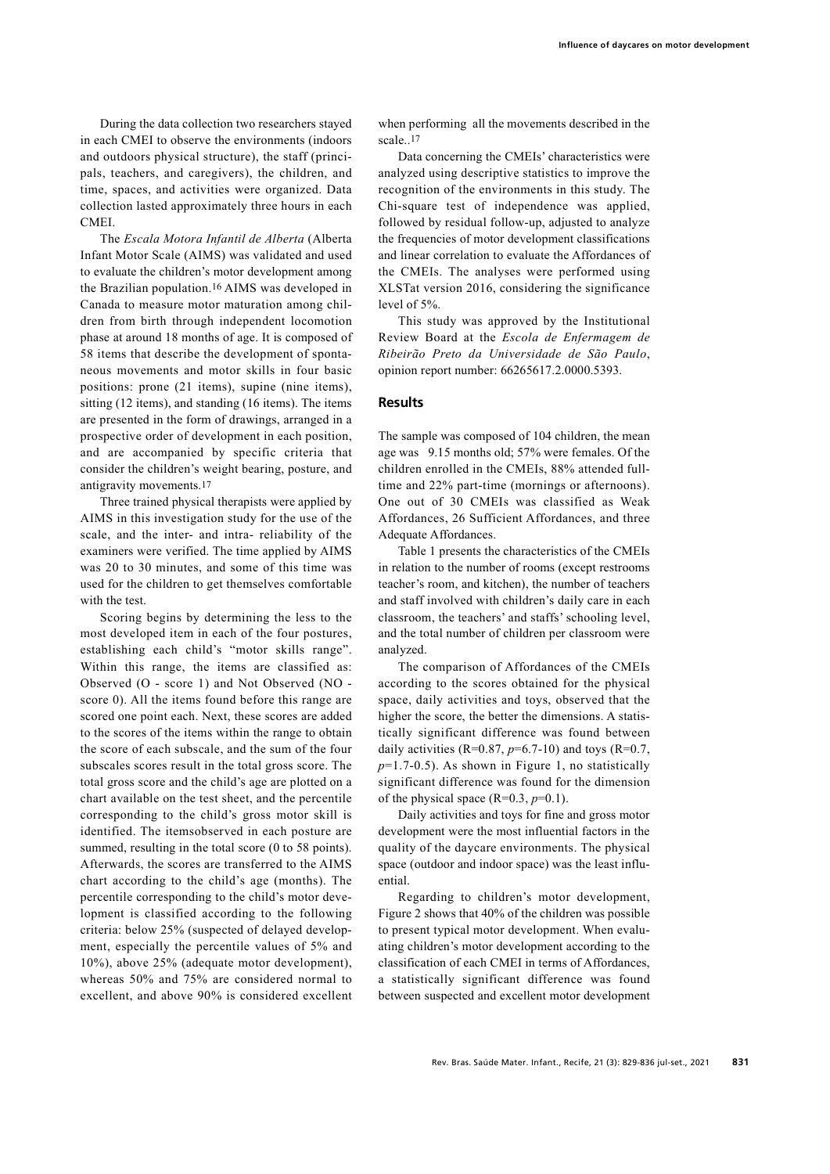During the data collection two researchers stayed in each CMEI to observe the environments (indoors and outdoors physical structure), the staff (principals, teachers, and caregivers), the children, and time, spaces, and activities were organized. Data collection lasted approximately three hours in each CMEI.

The Escala Motora Infantil de Alberta (Alberta Infant Motor Scale (AIMS) was validated and used to evaluate the children's motor development among the Brazilian population.16 AIMS was developed in Canada to measure motor maturation among children from birth through independent locomotion phase at around 18 months of age. It is composed of 58 items that describe the development of spontaneous movements and motor skills in four basic positions: prone (21 items), supine (nine items), sitting (12 items), and standing (16 items). The items are presented in the form of drawings, arranged in a prospective order of development in each position, and are accompanied by specific criteria that consider the children's weight bearing, posture, and antigravity movements.17

Three trained physical therapists were applied by AIMS in this investigation study for the use of the scale, and the inter- and intra- reliability of the examiners were verified. The time applied by AIMS was 20 to 30 minutes, and some of this time was used for the children to get themselves comfortable with the test.

Scoring begins by determining the less to the most developed item in each of the four postures, establishing each child's "motor skills range". Within this range, the items are classified as: Observed (O - score 1) and Not Observed (NO score 0). All the items found before this range are scored one point each. Next, these scores are added to the scores of the items within the range to obtain the score of each subscale, and the sum of the four subscales scores result in the total gross score. The total gross score and the child's age are plotted on a chart available on the test sheet, and the percentile corresponding to the child's gross motor skill is identified. The itemsobserved in each posture are summed, resulting in the total score (0 to 58 points). Afterwards, the scores are transferred to the AIMS chart according to the child's age (months). The percentile corresponding to the child's motor development is classified according to the following criteria: below 25% (suspected of delayed development, especially the percentile values of 5% and 10%), above 25% (adequate motor development), whereas 50% and 75% are considered normal to excellent, and above 90% is considered excellent

when performing all the movements described in the scale..17

Data concerning the CMEIs' characteristics were analyzed using descriptive statistics to improve the recognition of the environments in this study. The Chi-square test of independence was applied, followed by residual follow-up, adjusted to analyze the frequencies of motor development classifications and linear correlation to evaluate the Affordances of the CMEIs. The analyses were performed using XLSTat version 2016, considering the significance level of 5%.

This study was approved by the Institutional Review Board at the Escola de Enfermagem de Ribeirão Preto da Universidade de São Paulo, opinion report number: 66265617.2.0000.5393.

# **Results**

The sample was composed of 104 children, the mean age was 9.15 months old; 57% were females. Of the children enrolled in the CMEIs, 88% attended fulltime and 22% part-time (mornings or afternoons). One out of 30 CMEIs was classified as Weak Affordances, 26 Sufficient Affordances, and three Adequate Affordances.

Table 1 presents the characteristics of the CMEIs in relation to the number of rooms (except restrooms teacher's room, and kitchen), the number of teachers and staff involved with children's daily care in each classroom, the teachers' and staffs' schooling level, and the total number of children per classroom were analyzed.

The comparison of Affordances of the CMEIs according to the scores obtained for the physical space, daily activities and toys, observed that the higher the score, the better the dimensions. A statistically significant difference was found between daily activities (R=0.87,  $p=6.7-10$ ) and toys (R=0.7,  $p=1.7-0.5$ ). As shown in Figure 1, no statistically significant difference was found for the dimension of the physical space  $(R=0.3, p=0.1)$ .

Daily activities and toys for fine and gross motor development were the most influential factors in the quality of the daycare environments. The physical space (outdoor and indoor space) was the least influential.

Regarding to children's motor development, Figure 2 shows that 40% of the children was possible to present typical motor development. When evaluating children's motor development according to the classification of each CMEI in terms of Affordances, a statistically significant difference was found between suspected and excellent motor development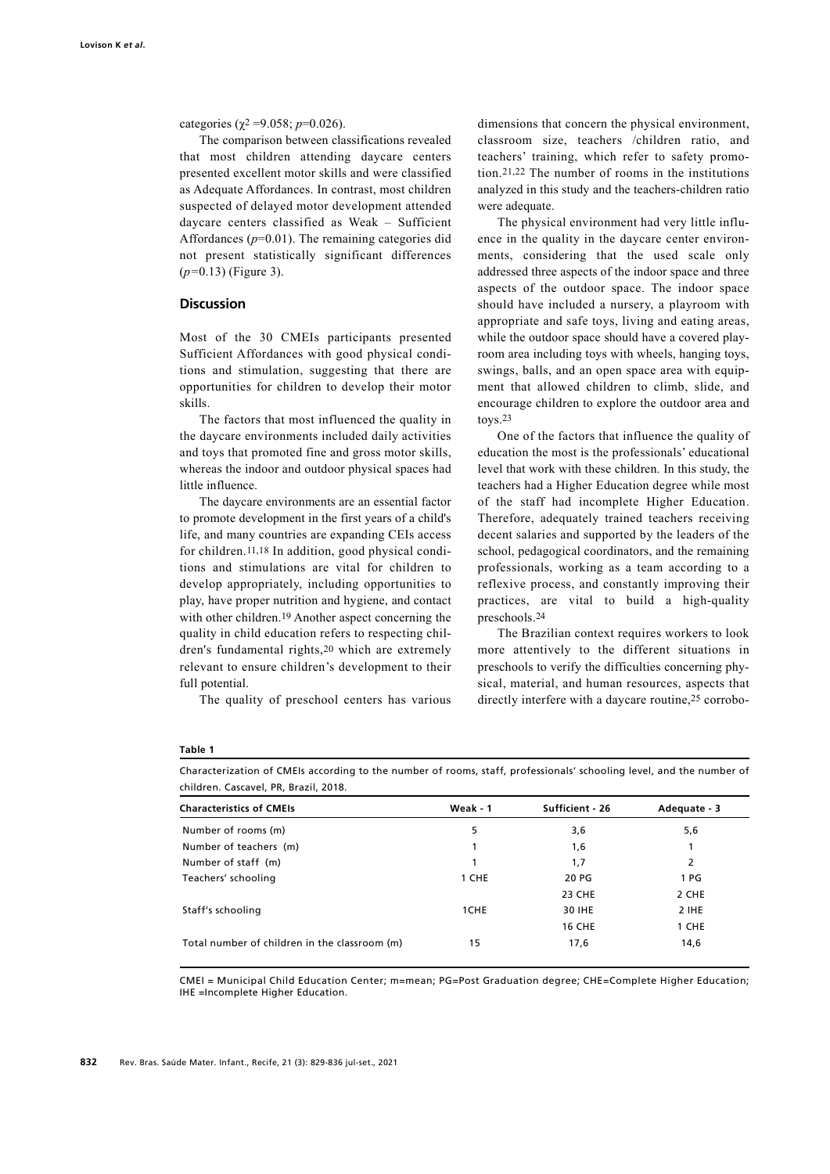categories ( $\chi^2$  =9.058; p=0.026).

The comparison between classifications revealed that most children attending daycare centers presented excellent motor skills and were classified as Adequate Affordances. In contrast, most children suspected of delayed motor development attended daycare centers classified as Weak – Sufficient Affordances  $(p=0.01)$ . The remaining categories did not present statistically significant differences  $(p=0.13)$  (Figure 3).

### **Discussion**

Most of the 30 CMEIs participants presented Sufficient Affordances with good physical conditions and stimulation, suggesting that there are opportunities for children to develop their motor skills.

The factors that most influenced the quality in the daycare environments included daily activities and toys that promoted fine and gross motor skills, whereas the indoor and outdoor physical spaces had little influence.

The daycare environments are an essential factor to promote development in the first years of a child's life, and many countries are expanding CEIs access for children.11,18 In addition, good physical conditions and stimulations are vital for children to develop appropriately, including opportunities to play, have proper nutrition and hygiene, and contact with other children.19 Another aspect concerning the quality in child education refers to respecting children's fundamental rights,20 which are extremely relevant to ensure children's development to their full potential.

The quality of preschool centers has various

dimensions that concern the physical environment, classroom size, teachers /children ratio, and teachers' training, which refer to safety promotion.21,22 The number of rooms in the institutions analyzed in this study and the teachers-children ratio were adequate.

The physical environment had very little influence in the quality in the daycare center environments, considering that the used scale only addressed three aspects of the indoor space and three aspects of the outdoor space. The indoor space should have included a nursery, a playroom with appropriate and safe toys, living and eating areas, while the outdoor space should have a covered playroom area including toys with wheels, hanging toys, swings, balls, and an open space area with equipment that allowed children to climb, slide, and encourage children to explore the outdoor area and toys.23

One of the factors that influence the quality of education the most is the professionals' educational level that work with these children. In this study, the teachers had a Higher Education degree while most of the staff had incomplete Higher Education. Therefore, adequately trained teachers receiving decent salaries and supported by the leaders of the school, pedagogical coordinators, and the remaining professionals, working as a team according to a reflexive process, and constantly improving their practices, are vital to build a high-quality preschools.24

The Brazilian context requires workers to look more attentively to the different situations in preschools to verify the difficulties concerning physical, material, and human resources, aspects that directly interfere with a daycare routine,25 corrobo-

#### Table 1

Characterization of CMEIs according to the number of rooms, staff, professionals' schooling level, and the number of children. Cascavel, PR, Brazil, 2018.

| <b>Characteristics of CMEIs</b>               | Weak - 1 | Sufficient - 26 | Adequate - 3 |
|-----------------------------------------------|----------|-----------------|--------------|
| Number of rooms (m)                           | 5        | 3,6             | 5,6          |
| Number of teachers (m)                        |          | 1,6             |              |
| Number of staff (m)                           |          | 1,7             | 2            |
| Teachers' schooling                           | 1 CHE    | 20 PG           | 1 PG         |
|                                               |          | <b>23 CHE</b>   | 2 CHE        |
| Staff's schooling                             | 1CHE     | 30 IHE          | 2 IHE        |
|                                               |          | <b>16 CHE</b>   | 1 CHE        |
| Total number of children in the classroom (m) | 15       | 17,6            | 14,6         |

CMEI = Municipal Child Education Center; m=mean; PG=Post Graduation degree; CHE=Complete Higher Education; IHE =Incomplete Higher Education.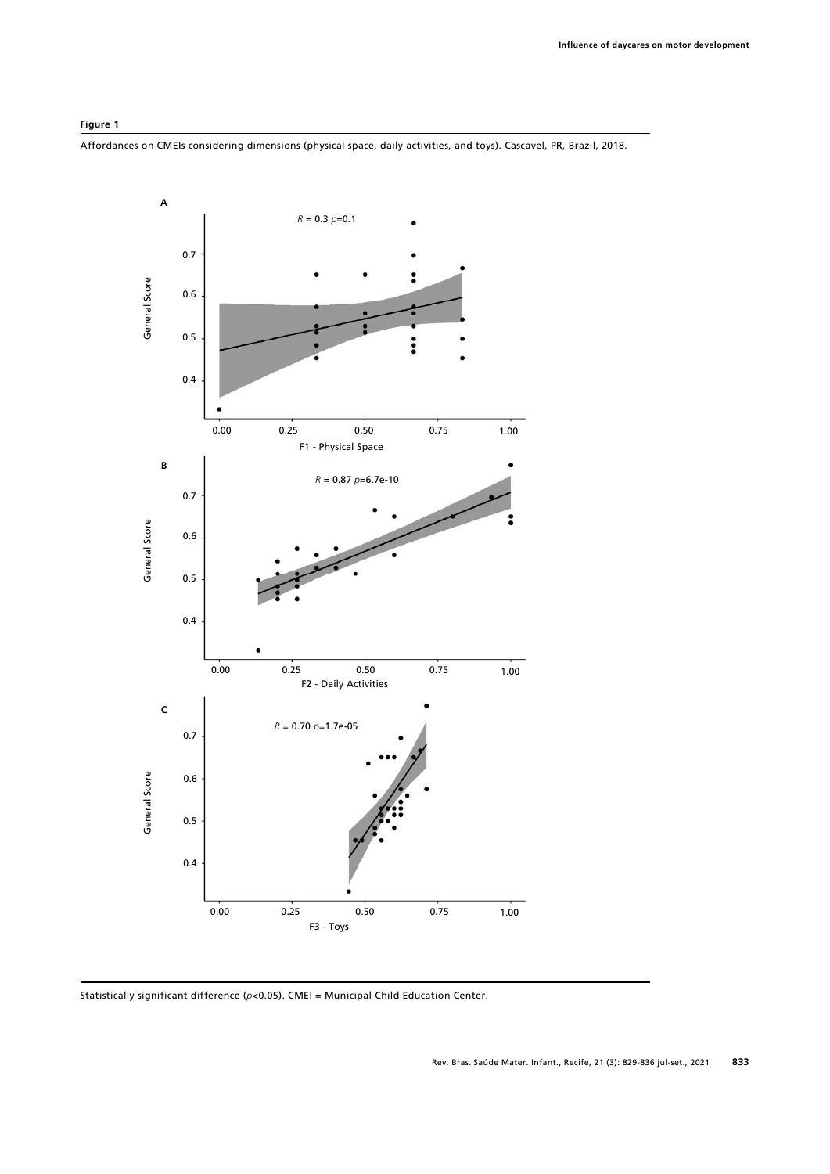

Affordances on CMEIs considering dimensions (physical space, daily activities, and toys). Cascavel, PR, Brazil, 2018.

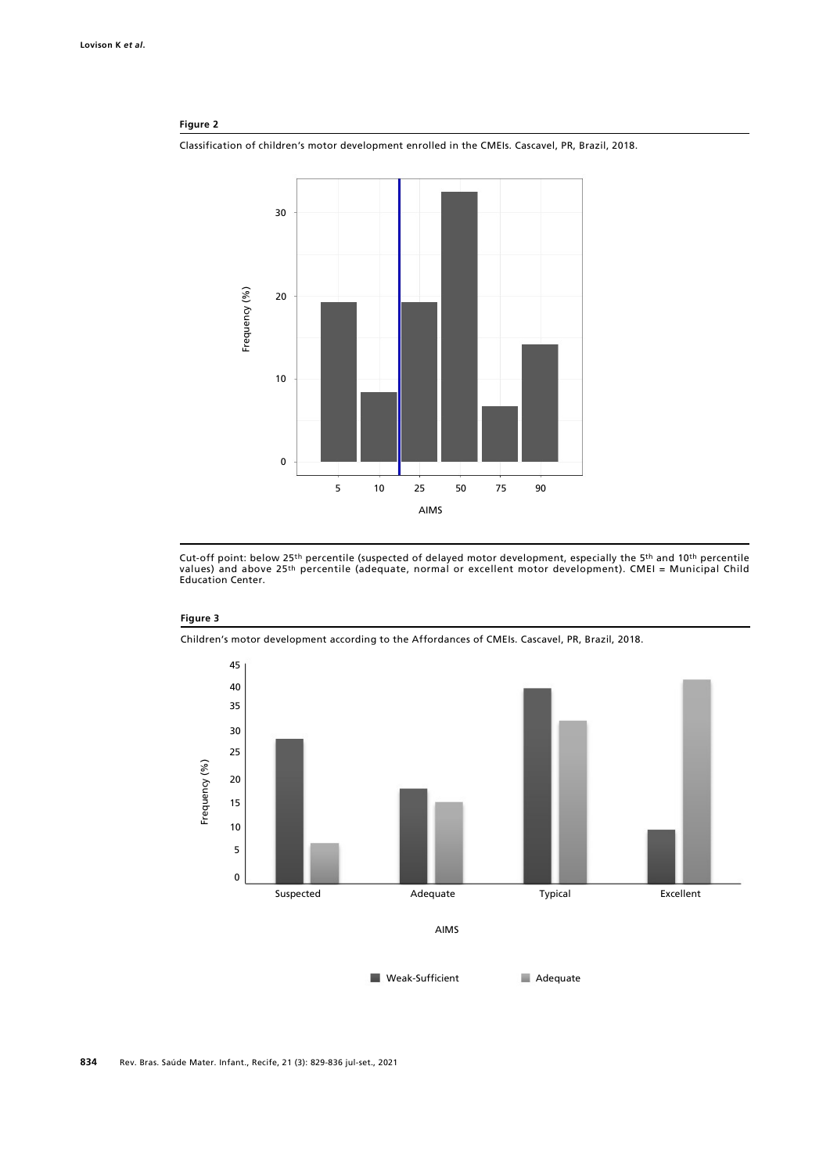#### Figure 2

Classification of children's motor development enrolled in the CMEIs. Cascavel, PR, Brazil, 2018.



Cut-off point: below 25th percentile (suspected of delayed motor development, especially the 5th and 10th percentile<br>values) and above 25th percentile (adequate, normal or excellent motor development). CMEI = Municipal Chi Education Center.

#### Figure 3

Children's motor development according to the Affordances of CMEIs. Cascavel, PR, Brazil, 2018.

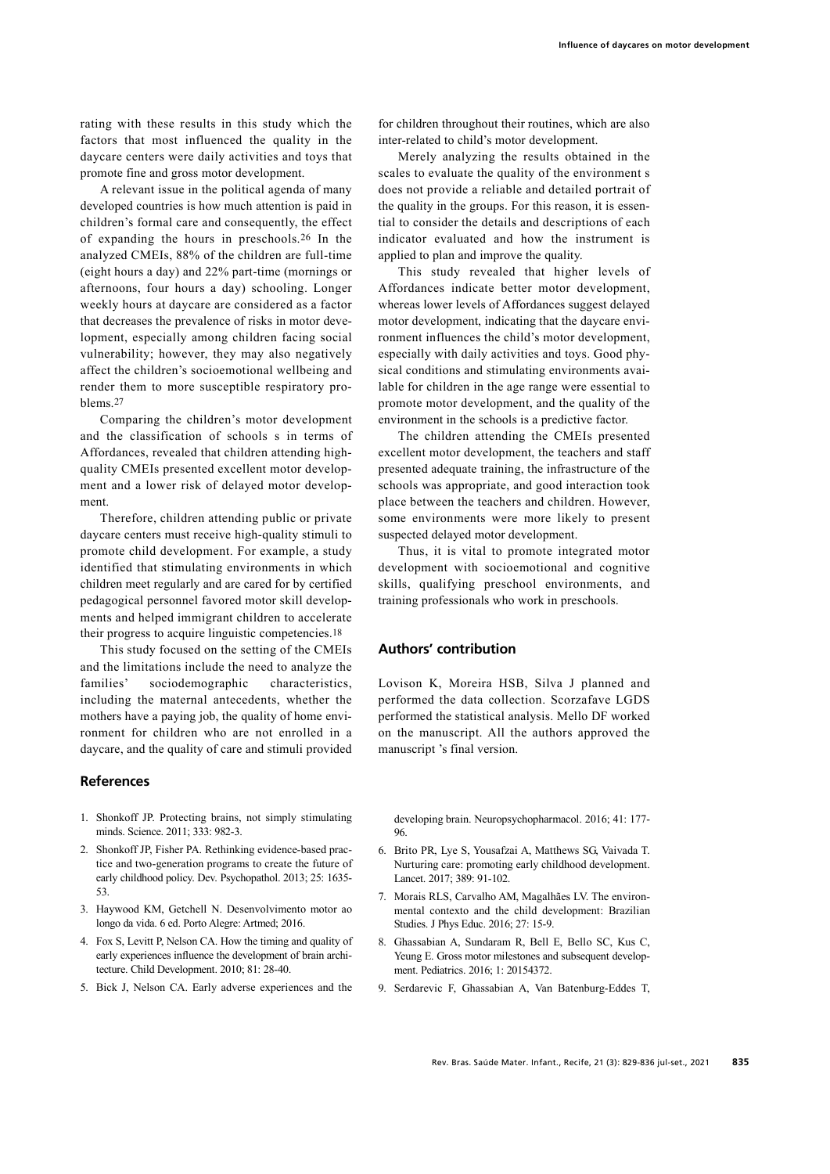rating with these results in this study which the factors that most influenced the quality in the daycare centers were daily activities and toys that promote fine and gross motor development.

A relevant issue in the political agenda of many developed countries is how much attention is paid in children's formal care and consequently, the effect of expanding the hours in preschools.26 In the analyzed CMEIs, 88% of the children are full-time (eight hours a day) and 22% part-time (mornings or afternoons, four hours a day) schooling. Longer weekly hours at daycare are considered as a factor that decreases the prevalence of risks in motor development, especially among children facing social vulnerability; however, they may also negatively affect the children's socioemotional wellbeing and render them to more susceptible respiratory problems.27

Comparing the children's motor development and the classification of schools s in terms of Affordances, revealed that children attending highquality CMEIs presented excellent motor development and a lower risk of delayed motor development.

Therefore, children attending public or private daycare centers must receive high-quality stimuli to promote child development. For example, a study identified that stimulating environments in which children meet regularly and are cared for by certified pedagogical personnel favored motor skill developments and helped immigrant children to accelerate their progress to acquire linguistic competencies.18

This study focused on the setting of the CMEIs and the limitations include the need to analyze the families' sociodemographic characteristics, including the maternal antecedents, whether the mothers have a paying job, the quality of home environment for children who are not enrolled in a daycare, and the quality of care and stimuli provided

#### References

- 1. Shonkoff JP. Protecting brains, not simply stimulating minds. Science. 2011; 333: 982-3.
- 2. Shonkoff JP, Fisher PA. Rethinking evidence-based practice and two-generation programs to create the future of early childhood policy. Dev. Psychopathol. 2013; 25: 1635- 53.
- 3. Haywood KM, Getchell N. Desenvolvimento motor ao longo da vida. 6 ed. Porto Alegre: Artmed; 2016.
- 4. Fox S, Levitt P, Nelson CA. How the timing and quality of early experiences influence the development of brain architecture. Child Development. 2010; 81: 28-40.
- 5. Bick J, Nelson CA. Early adverse experiences and the

for children throughout their routines, which are also inter-related to child's motor development.

Merely analyzing the results obtained in the scales to evaluate the quality of the environment s does not provide a reliable and detailed portrait of the quality in the groups. For this reason, it is essential to consider the details and descriptions of each indicator evaluated and how the instrument is applied to plan and improve the quality.

This study revealed that higher levels of Affordances indicate better motor development, whereas lower levels of Affordances suggest delayed motor development, indicating that the daycare environment influences the child's motor development, especially with daily activities and toys. Good physical conditions and stimulating environments available for children in the age range were essential to promote motor development, and the quality of the environment in the schools is a predictive factor.

The children attending the CMEIs presented excellent motor development, the teachers and staff presented adequate training, the infrastructure of the schools was appropriate, and good interaction took place between the teachers and children. However, some environments were more likely to present suspected delayed motor development.

Thus, it is vital to promote integrated motor development with socioemotional and cognitive skills, qualifying preschool environments, and training professionals who work in preschools.

# Authors' contribution

Lovison K, Moreira HSB, Silva J planned and performed the data collection. Scorzafave LGDS performed the statistical analysis. Mello DF worked on the manuscript. All the authors approved the manuscript 's final version.

developing brain. Neuropsychopharmacol. 2016; 41: 177- 96.

- 6. Brito PR, Lye S, Yousafzai A, Matthews SG, Vaivada T. Nurturing care: promoting early childhood development. Lancet. 2017; 389: 91-102.
- 7. Morais RLS, Carvalho AM, Magalhães LV. The environmental contexto and the child development: Brazilian Studies. J Phys Educ. 2016; 27: 15-9.
- 8. Ghassabian A, Sundaram R, Bell E, Bello SC, Kus C, Yeung E. Gross motor milestones and subsequent development. Pediatrics. 2016; 1: 20154372.
- 9. Serdarevic F, Ghassabian A, Van Batenburg-Eddes T,